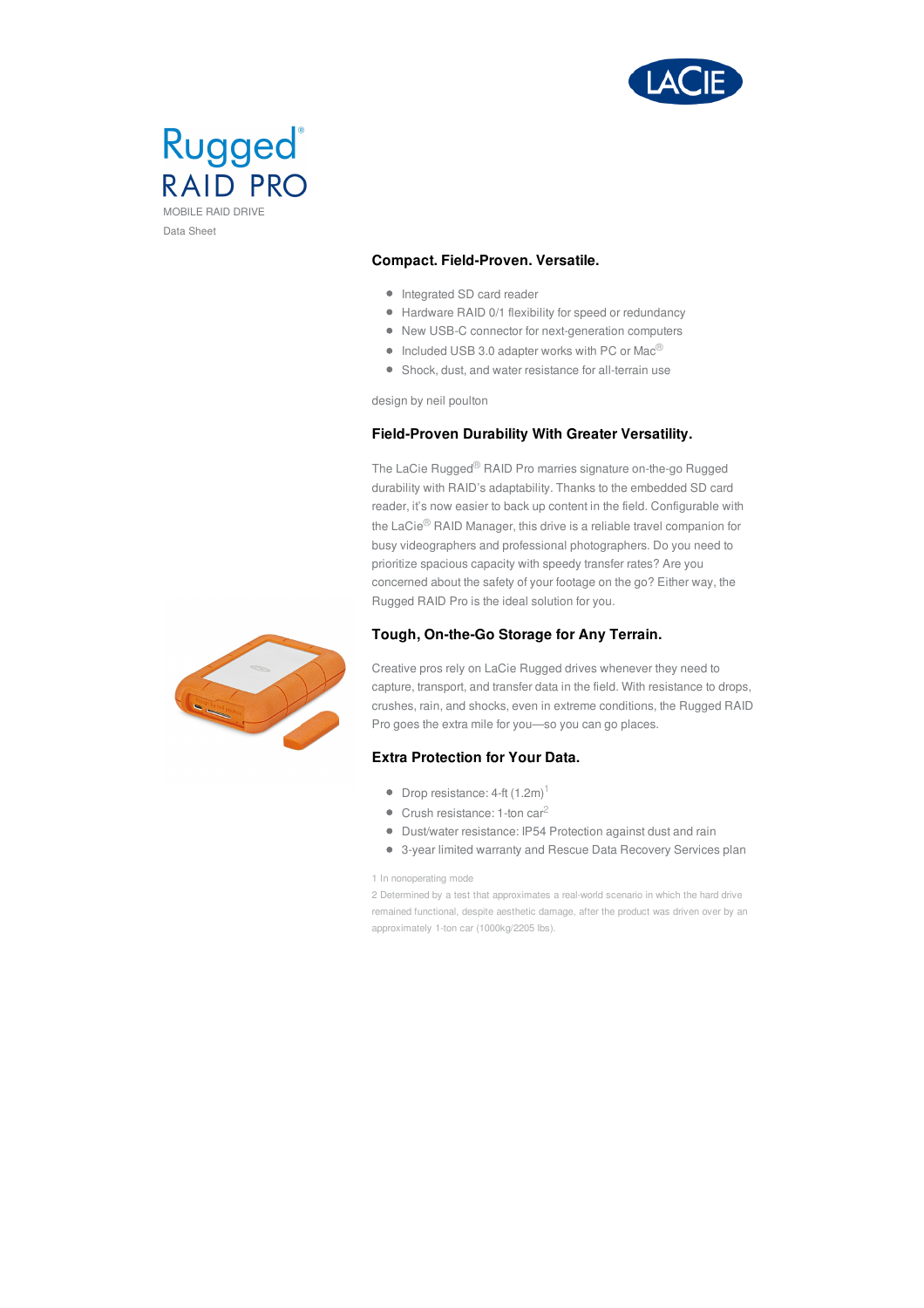



## **Compact. Field-Proven. Versatile.**

- Integrated SD card reader
- Hardware RAID 0/1 flexibility for speed or redundancy
- New USB-C connector for next-generation computers
- $\bullet$  Included USB 3.0 adapter works with PC or Mac<sup>®</sup>
- Shock, dust, and water resistance for all-terrain use

design by neil poulton

## **Field-Proven Durability With Greater Versatility.**

The LaCie Rugged® RAID Pro marries signature on-the-go Rugged durability with RAID's adaptability. Thanks to the embedded SD card reader, it's now easier to back up content in the field. Configurable with the LaCie® RAID Manager, this drive is a reliable travel companion for busy videographers and professional photographers. Do you need to prioritize spacious capacity with speedy transfer rates? Are you concerned about the safety of your footage on the go? Either way, the Rugged RAID Pro is the ideal solution for you.

## **Tough, On-the-Go Storage for Any Terrain.**



Creative pros rely on LaCie Rugged drives whenever they need to capture, transport, and transfer data in the field. With resistance to drops, crushes, rain, and shocks, even in extreme conditions, the Rugged RAID Pro goes the extra mile for you—so you can go places.

#### **Extra Protection for Your Data.**

- $\bullet$  Drop resistance: 4-ft  $(1.2m)^1$
- Crush resistance: 1-ton car<sup>2</sup>
- Dust/water resistance: IP54 Protection against dust and rain
- 3-year limited warranty and Rescue Data Recovery Services plan

1 In nonoperating mode

2 Determined by a test that approximates a real-world scenario in which the hard drive remained functional, despite aesthetic damage, after the product was driven over by an approximately 1-ton car (1000kg/2205 lbs).